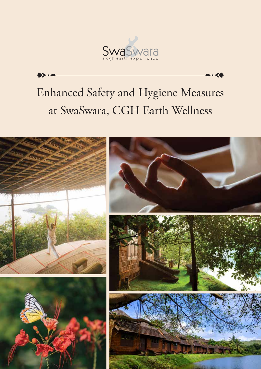

# Enhanced Safety and Hygiene Measures at SwaSwara, CGH Earth Wellness

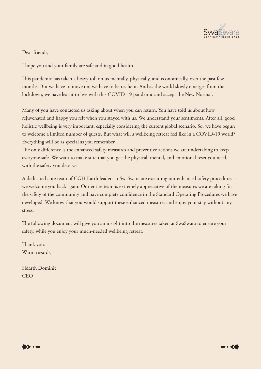

Dear friends,

I hope you and your family are safe and in good health.

This pandemic has taken a heavy toll on us mentally, physically, and economically, over the past few months. But we have to move on; we have to be resilient. And as the world slowly emerges from the lockdown, we have learnt to live with this COVID-19 pandemic and accept the New Normal.

Many of you have contacted us asking about when you can return. You have told us about how rejuvenated and happy you felt when you stayed with us. We understand your sentiments. After all, good holistic wellbeing is very important, especially considering the current global scenario. So, we have begun to welcome a limited number of guests. But what will a wellbeing retreat feel like in a COVID-19 world? Everything will be as special as you remember.

The only difference is the enhanced safety measures and preventive actions we are undertaking to keep everyone safe. We want to make sure that you get the physical, mental, and emotional reset you need, with the safety you deserve.

A dedicated core team of CGH Earth leaders at SwaSwara are executing our enhanced safety procedures as we welcome you back again. Our entire team is extremely appreciative of the measures we are taking for the safety of the community and have complete confidence in the Standard Operating Procedures we have developed. We know that you would support these enhanced measures and enjoy your stay without any stress.

The following document will give you an insight into the measures taken at SwaSwara to ensure your safety, while you enjoy your much-needed wellbeing retreat.

Thank you. Warm regards,

Sidarth Dominic **CEO**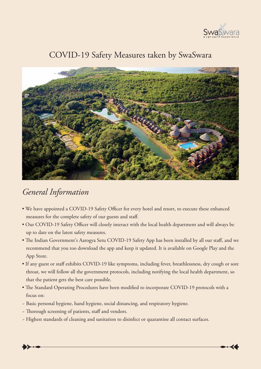

#### COVID-19 Safety Measures taken by SwaSwara



#### *General Information*

- We have appointed a COVID-19 Safety Officer for every hotel and resort, to execute these enhanced measures for the complete safety of our guests and staff.
- Our COVID-19 Safety Officer will closely interact with the local health department and will always be up to date on the latest safety measures.
- The Indian Government's Aarogya Setu COVID-19 Safety App has been installed by all our staff, and we recommend that you too download the app and keep it updated. It is available on Google Play and the App Store.
- If any guest or staff exhibits COVID-19 like symptoms, including fever, breathlessness, dry cough or sore throat, we will follow all the government protocols, including notifying the local health department, so that the patient gets the best care possible.
- The Standard Operating Procedures have been modified to incorporate COVID-19 protocols with a focus on:
- ~ Basic personal hygiene, hand hygiene, social distancing, and respiratory hygiene.
- ~ Thorough screening of patients, staff and vendors.
- ~ Highest standards of cleaning and sanitation to disinfect or quarantine all contact surfaces.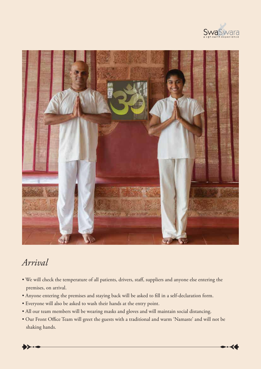



#### *Arrival*

- We will check the temperature of all patients, drivers, staff, suppliers and anyone else entering the premises, on arrival.
- Anyone entering the premises and staying back will be asked to fill in a self-declaration form.
- Everyone will also be asked to wash their hands at the entry point.
- All our team members will be wearing masks and gloves and will maintain social distancing.
- Our Front Office Team will greet the guests with a traditional and warm 'Namaste' and will not be shaking hands.

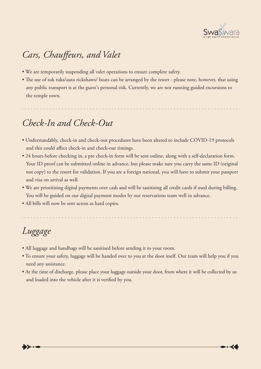

# *Cars, Chauffeurs, and Valet*

- We are temporarily suspending all valet operations to ensure complete safety.
- The use of tuk tuks/auto rickshaws/ boats can be arranged by the resort please note, however, that using any public transport is at the guest's personal risk. Currently, we are not running guided excursions to the temple town.

# *Check-In and Check-Out*

- Understandably, check-in and check-out procedures have been altered to include COVID-19 protocols and this could affect check-in and check-out timings.
- 24 hours before checking in, a pre check-in form will be sent online, along with a self-declaration form. Your ID proof can be submitted online in advance, but please make sure you carry the same ID (original not copy) to the resort for validation. If you are a foreign national, you will have to submit your passport and visa on arrival as well.
- We are prioritising digital payments over cash and will be sanitising all credit cards if used during billing. You will be guided on our digital payment modes by our reservations team well in advance.
- All bills will now be sent across as hard copies.

# *Luggage*

- All luggage and handbags will be sanitised before sending it to your room.
- To ensure your safety, luggage will be handed over to you at the door itself. Our team will help you if you need any assistance.
- At the time of discharge, please place your luggage outside your door, from where it will be collected by us and loaded into the vehicle after it is verified by you.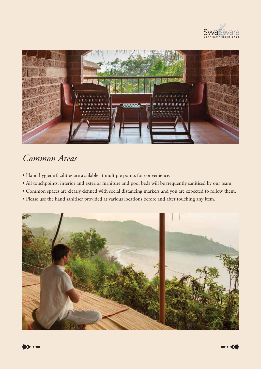



#### *Common Areas*

- Hand hygiene facilities are available at multiple points for convenience.
- All touchpoints, interior and exterior furniture and pool beds will be frequently sanitised by our team.
- Common spaces are clearly defined with social distancing markers and you are expected to follow them.
- Please use the hand sanitiser provided at various locations before and after touching any item.

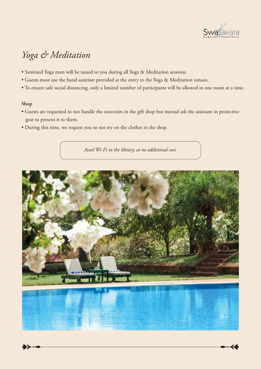

### *Yoga & Meditation*

- Sanitised Yoga mats will be issued to you during all Yoga & Meditation sessions.
- Guests must use the hand sanitiser provided at the entry to the Yoga & Meditation venues.
- To ensure safe social distancing, only a limited number of participants will be allowed in one room at a time.

#### **Shop**

- Guests are requested to not handle the souvenirs in the gift shop but instead ask the assistant in protective gear to present it to them.
- During this time, we request you to not try on the clothes in the shop.

*Avail Wi-Fi in the library, at no additional cost.*



$$
\blacklozenge \succ \cdot \bullet
$$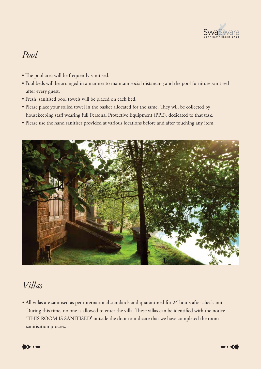

#### *Pool*

- The pool area will be frequently sanitised.
- Pool beds will be arranged in a manner to maintain social distancing and the pool furniture sanitised after every guest.
- Fresh, sanitised pool towels will be placed on each bed.
- Please place your soiled towel in the basket allocated for the same. They will be collected by housekeeping staff wearing full Personal Protective Equipment (PPE), dedicated to that task.
- Please use the hand sanitiser provided at various locations before and after touching any item.



#### *Villas*

• All villas are sanitised as per international standards and quarantined for 24 hours after check-out. During this time, no one is allowed to enter the villa. These villas can be identified with the notice 'THIS ROOM IS SANITISED' outside the door to indicate that we have completed the room sanitisation process.

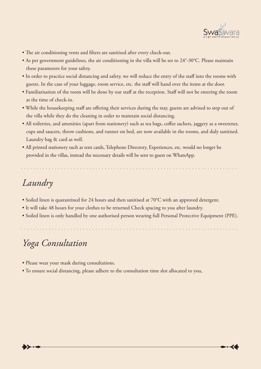

- The air conditioning vents and filters are sanitised after every check-out.
- As per government guidelines, the air conditioning in the villa will be set to 24°-30°C. Please maintain these parameters for your safety.
- In order to practice social distancing and safety, we will reduce the entry of the staff into the rooms with guests. In the case of your luggage, room service, etc. the staff will hand over the items at the door.
- Familiarisation of the room will be done by our staff at the reception. Staff will not be entering the room at the time of check-in.
- While the housekeeping staff are offering their services during the stay, guests are advised to step out of the villa while they do the cleaning in order to maintain social distancing.
- All toiletries, and amenities (apart from stationery) such as tea bags, coffee sachets, jaggery as a sweetener, cups and saucers, throw cushions, and runner on bed, are now available in the rooms, and duly sanitised. Laundry bag & card as well.
- All printed stationery such as tent cards, Telephone Directory, Experiences, etc. would no longer be provided in the villas, instead the necessary details will be sent to guest on WhatsApp.

# *Laundry*

- Soiled linen is quarantined for 24 hours and then sanitised at 70°C with an approved detergent.
- It will take 48 hours for your clothes to be returned Check spacing to you after laundry.
- Soiled linen is only handled by one authorised person wearing full Personal Protective Equipment (PPE).

#### *Yoga Consultation*

- Please wear your mask during consultations.
- To ensure social distancing, please adhere to the consultation time slot allocated to you,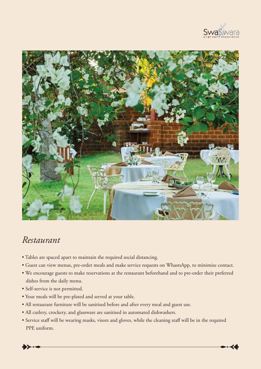



#### *Restaurant*

- Tables are spaced apart to maintain the required social distancing.
- Guest can view menus, pre-order meals and make service requests on WhastsApp, to minimise contact.
- We encourage guests to make reservations at the restaurant beforehand and to pre-order their preferred dishes from the daily menu.
- Self-service is not permitted.
- Your meals will be pre-plated and served at your table.
- All restaurant furniture will be sanitised before and after every meal and guest use.
- All cutlery, crockery, and glassware are sanitised in automated dishwashers.
- Service staff will be wearing masks, visors and gloves, while the cleaning staff will be in the required PPE uniform.

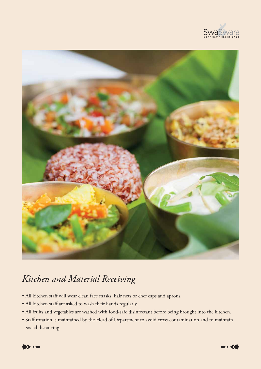



# *Kitchen and Material Receiving*

- All kitchen staff will wear clean face masks, hair nets or chef caps and aprons.
- All kitchen staff are asked to wash their hands regularly.
- All fruits and vegetables are washed with food-safe disinfectant before being brought into the kitchen.
- Staff rotation is maintained by the Head of Department to avoid cross-contamination and to maintain social distancing.

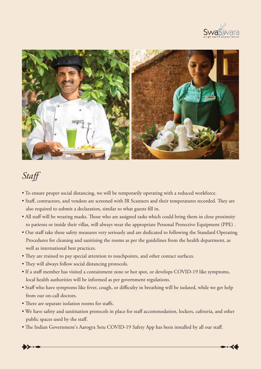



## *Staff*

- To ensure proper social distancing, we will be temporarily operating with a reduced workforce.
- Staff, contractors, and vendors are screened with IR Scanners and their temperatures recorded. They are also required to submit a declaration, similar to what guests fill in.
- All staff will be wearing masks. Those who are assigned tasks which could bring them in close proximity to patients or inside their villas, will always wear the appropriate Personal Protective Equipment (PPE) .
- Our staff take these safety measures very seriously and are dedicated to following the Standard Operating Procedures for cleaning and sanitising the rooms as per the guidelines from the health department, as well as international best practices.
- They are trained to pay special attention to touchpoints, and other contact surfaces.
- They will always follow social distancing protocols.
- If a staff member has visited a containment zone or hot spot, or develops COVID-19 like symptoms, local health authorities will be informed as per government regulations.
- Staff who have symptoms like fever, cough, or difficulty in breathing will be isolated, while we get help from our on-call doctors.
- There are separate isolation rooms for staffs.
- We have safety and sanitisation protocols in place for staff accommodation, lockers, cafeteria, and other public spaces used by the staff.
- The Indian Government's Aarogya Setu COVID-19 Safety App has been installed by all our staff.

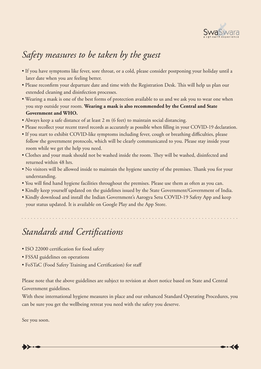

# *Safety measures to be taken by the guest*

- If you have symptoms like fever, sore throat, or a cold, please consider postponing your holiday until a later date when you are feeling better.
- Please reconfirm your departure date and time with the Registration Desk. This will help us plan our extended cleaning and disinfection processes.
- Wearing a mask is one of the best forms of protection available to us and we ask you to wear one when you step outside your room. **Wearing a mask is also recommended by the Central and State Government and WHO.**
- Always keep a safe distance of at least 2 m (6 feet) to maintain social distancing.
- Please recollect your recent travel records as accurately as possible when filling in your COVID-19 declaration.
- If you start to exhibit COVID-like symptoms including fever, cough or breathing difficulties, please follow the government protocols, which will be clearly communicated to you. Please stay inside your room while we get the help you need.
- Clothes and your mask should not be washed inside the room. They will be washed, disinfected and returned within 48 hrs.
- No visitors will be allowed inside to maintain the hygiene sanctity of the premises. Thank you for your understanding.
- You will find hand hygiene facilities throughout the premises. Please use them as often as you can.
- Kindly keep yourself updated on the guidelines issued by the State Government/Government of India.
- Kindly download and install the Indian Government's Aarogya Setu COVID-19 Safety App and keep your status updated. It is available on Google Play and the App Store.

# *Standards and Certications*

- ISO 22000 certification for food safety
- FSSAI guidelines on operations
- FoSTaC (Food Safety Training and Certification) for staff

Please note that the above guidelines are subject to revision at short notice based on State and Central Government guidelines.

With these international hygiene measures in place and our enhanced Standard Operating Procedures, you can be sure you get the wellbeing retreat you need with the safety you deserve.

See you soon.